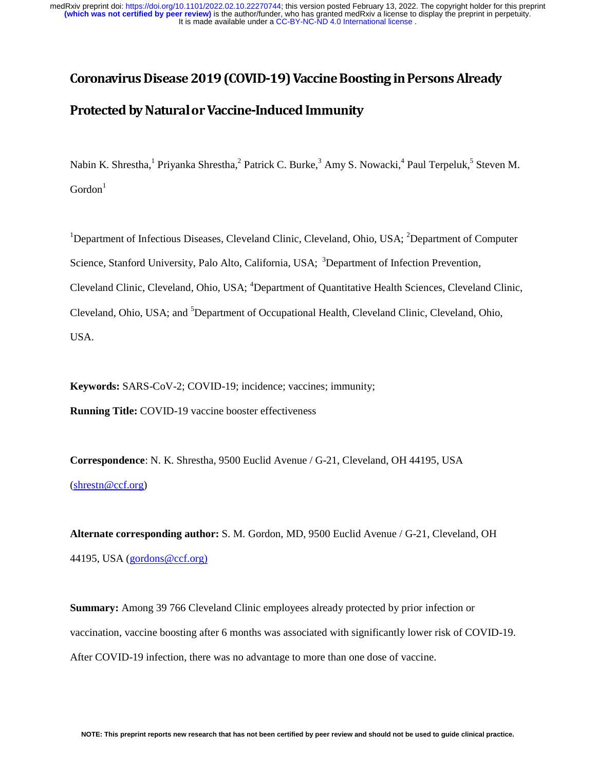# Coronavirus Disease 2019 (COVID-19) Vaccine Boosting in Persons Already Protected by Natural or Vaccine-Induced Immunity

Nabin K. Shrestha, <sup>1</sup> Priyanka Shrestha, <sup>2</sup> Patrick C. Burke, <sup>3</sup> Amy S. Nowacki, <sup>4</sup> Paul Terpeluk, <sup>5</sup> Steven M.  $Gordon<sup>1</sup>$ 

<sup>1</sup>Department of Infectious Diseases, Cleveland Clinic, Cleveland, Ohio, USA; <sup>2</sup>Department of Computer Science, Stanford University, Palo Alto, California, USA; <sup>3</sup>Department of Infection Prevention, Cleveland Clinic, Cleveland, Ohio, USA; <sup>4</sup>Department of Quantitative Health Sciences, Cleveland Clinic, Cleveland, Ohio, USA; and <sup>5</sup>Department of Occupational Health, Cleveland Clinic, Cleveland, Ohio, USA.

**Keywords:** SARS-CoV-2; COVID-19; incidence; vaccines; immunity;

**Running Title:** COVID-19 vaccine booster effectiveness

**Correspondence**: N. K. Shrestha, 9500 Euclid Avenue / G-21, Cleveland, OH 44195, USA (shrestn@ccf.org)

**Alternate corresponding author:** S. M. Gordon, MD, 9500 Euclid Avenue / G-21, Cleveland, OH 44195, USA (gordons@ccf.org)

**Summary:** Among 39 766 Cleveland Clinic employees already protected by prior infection or vaccination, vaccine boosting after 6 months was associated with significantly lower risk of COVID-19. After COVID-19 infection, there was no advantage to more than one dose of vaccine.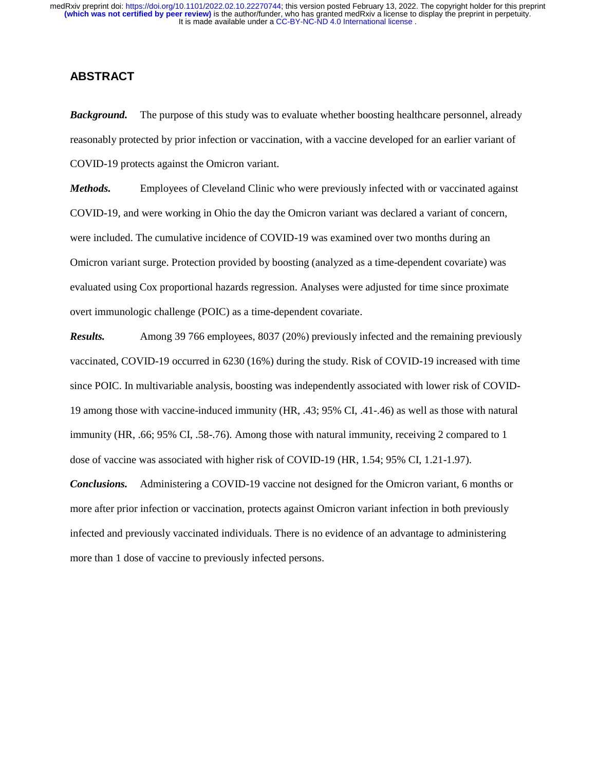# **ABSTRACT**

*Background.* The purpose of this study was to evaluate whether boosting healthcare personnel, already reasonably protected by prior infection or vaccination, with a vaccine developed for an earlier variant of COVID-19 protects against the Omicron variant.

*Methods.* Employees of Cleveland Clinic who were previously infected with or vaccinated against COVID-19, and were working in Ohio the day the Omicron variant was declared a variant of concern, were included. The cumulative incidence of COVID-19 was examined over two months during an Omicron variant surge. Protection provided by boosting (analyzed as a time-dependent covariate) was evaluated using Cox proportional hazards regression. Analyses were adjusted for time since proximate overt immunologic challenge (POIC) as a time-dependent covariate.

*Results.* Among 39 766 employees, 8037 (20%) previously infected and the remaining previously vaccinated, COVID-19 occurred in 6230 (16%) during the study. Risk of COVID-19 increased with time since POIC. In multivariable analysis, boosting was independently associated with lower risk of COVID-19 among those with vaccine-induced immunity (HR, .43; 95% CI, .41-.46) as well as those with natural immunity (HR, .66; 95% CI, .58-.76). Among those with natural immunity, receiving 2 compared to 1 dose of vaccine was associated with higher risk of COVID-19 (HR, 1.54; 95% CI, 1.21-1.97).

*Conclusions.* Administering a COVID-19 vaccine not designed for the Omicron variant, 6 months or more after prior infection or vaccination, protects against Omicron variant infection in both previously infected and previously vaccinated individuals. There is no evidence of an advantage to administering more than 1 dose of vaccine to previously infected persons.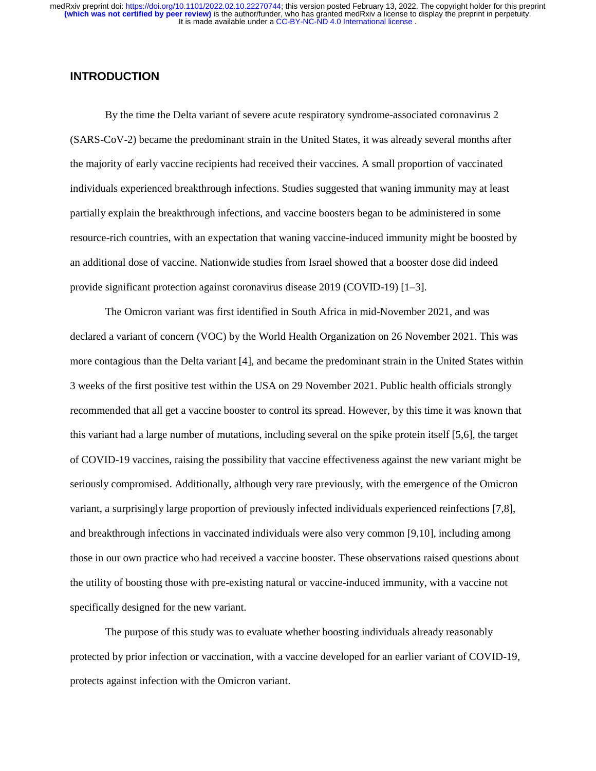# **INTRODUCTION**

By the time the Delta variant of severe acute respiratory syndrome-associated coronavirus 2 (SARS-CoV-2) became the predominant strain in the United States, it was already several months after the majority of early vaccine recipients had received their vaccines. A small proportion of vaccinated individuals experienced breakthrough infections. Studies suggested that waning immunity may at least partially explain the breakthrough infections, and vaccine boosters began to be administered in some resource-rich countries, with an expectation that waning vaccine-induced immunity might be boosted by an additional dose of vaccine. Nationwide studies from Israel showed that a booster dose did indeed provide significant protection against coronavirus disease 2019 (COVID-19) [1–3].

The Omicron variant was first identified in South Africa in mid-November 2021, and was declared a variant of concern (VOC) by the World Health Organization on 26 November 2021. This was more contagious than the Delta variant [4], and became the predominant strain in the United States within 3 weeks of the first positive test within the USA on 29 November 2021. Public health officials strongly recommended that all get a vaccine booster to control its spread. However, by this time it was known that this variant had a large number of mutations, including several on the spike protein itself [5,6], the target of COVID-19 vaccines, raising the possibility that vaccine effectiveness against the new variant might be seriously compromised. Additionally, although very rare previously, with the emergence of the Omicron variant, a surprisingly large proportion of previously infected individuals experienced reinfections [7,8], and breakthrough infections in vaccinated individuals were also very common [9,10], including among those in our own practice who had received a vaccine booster. These observations raised questions about the utility of boosting those with pre-existing natural or vaccine-induced immunity, with a vaccine not specifically designed for the new variant.

The purpose of this study was to evaluate whether boosting individuals already reasonably protected by prior infection or vaccination, with a vaccine developed for an earlier variant of COVID-19, protects against infection with the Omicron variant.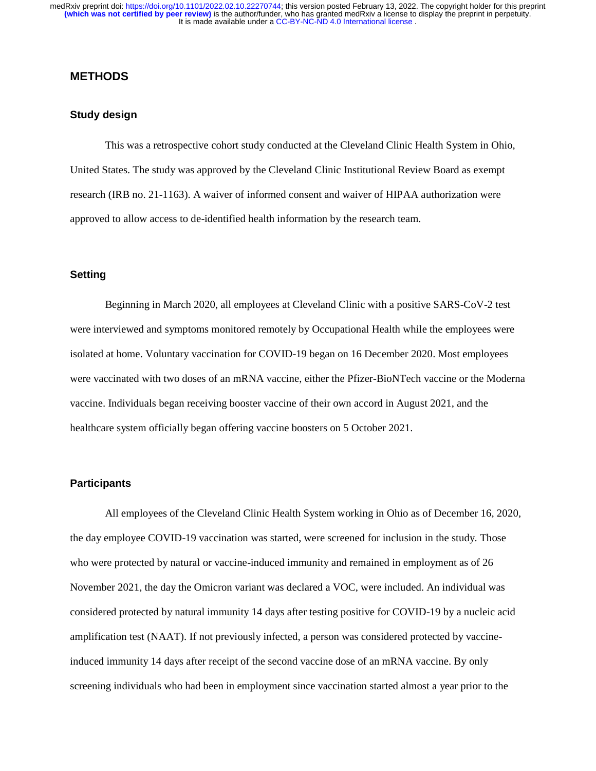# **METHODS**

# **Study design**

This was a retrospective cohort study conducted at the Cleveland Clinic Health System in Ohio, United States. The study was approved by the Cleveland Clinic Institutional Review Board as exempt research (IRB no. 21-1163). A waiver of informed consent and waiver of HIPAA authorization were approved to allow access to de-identified health information by the research team.

# **Setting**

Beginning in March 2020, all employees at Cleveland Clinic with a positive SARS-CoV-2 test were interviewed and symptoms monitored remotely by Occupational Health while the employees were isolated at home. Voluntary vaccination for COVID-19 began on 16 December 2020. Most employees were vaccinated with two doses of an mRNA vaccine, either the Pfizer-BioNTech vaccine or the Moderna vaccine. Individuals began receiving booster vaccine of their own accord in August 2021, and the healthcare system officially began offering vaccine boosters on 5 October 2021.

#### **Participants**

All employees of the Cleveland Clinic Health System working in Ohio as of December 16, 2020, the day employee COVID-19 vaccination was started, were screened for inclusion in the study. Those who were protected by natural or vaccine-induced immunity and remained in employment as of 26 November 2021, the day the Omicron variant was declared a VOC, were included. An individual was considered protected by natural immunity 14 days after testing positive for COVID-19 by a nucleic acid amplification test (NAAT). If not previously infected, a person was considered protected by vaccineinduced immunity 14 days after receipt of the second vaccine dose of an mRNA vaccine. By only screening individuals who had been in employment since vaccination started almost a year prior to the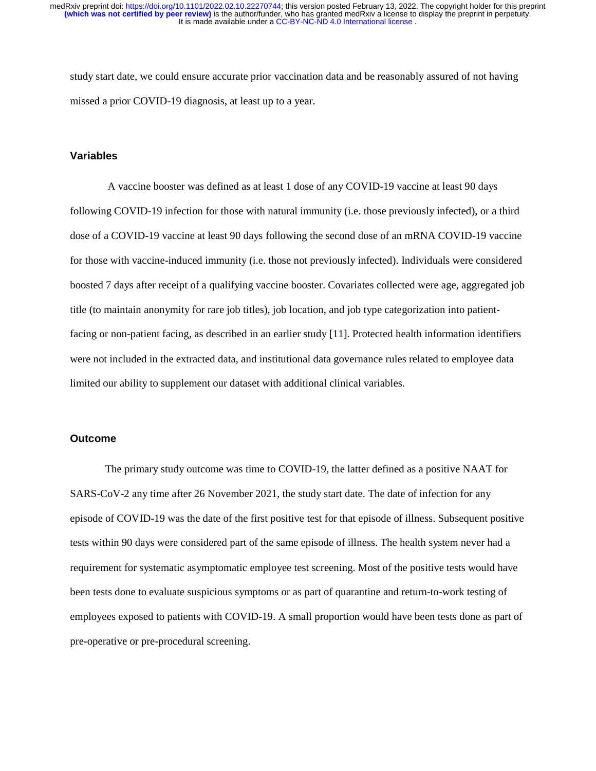study start date, we could ensure accurate prior vaccination data and be reasonably assured of not having missed a prior COVID-19 diagnosis, at least up to a year.

#### **Variables**

 A vaccine booster was defined as at least 1 dose of any COVID-19 vaccine at least 90 days following COVID-19 infection for those with natural immunity (i.e. those previously infected), or a third dose of a COVID-19 vaccine at least 90 days following the second dose of an mRNA COVID-19 vaccine for those with vaccine-induced immunity (i.e. those not previously infected). Individuals were considered boosted 7 days after receipt of a qualifying vaccine booster. Covariates collected were age, aggregated job title (to maintain anonymity for rare job titles), job location, and job type categorization into patientfacing or non-patient facing, as described in an earlier study [11]. Protected health information identifiers were not included in the extracted data, and institutional data governance rules related to employee data limited our ability to supplement our dataset with additional clinical variables.

# **Outcome**

The primary study outcome was time to COVID-19, the latter defined as a positive NAAT for SARS-CoV-2 any time after 26 November 2021, the study start date. The date of infection for any episode of COVID-19 was the date of the first positive test for that episode of illness. Subsequent positive tests within 90 days were considered part of the same episode of illness. The health system never had a requirement for systematic asymptomatic employee test screening. Most of the positive tests would have been tests done to evaluate suspicious symptoms or as part of quarantine and return-to-work testing of employees exposed to patients with COVID-19. A small proportion would have been tests done as part of pre-operative or pre-procedural screening.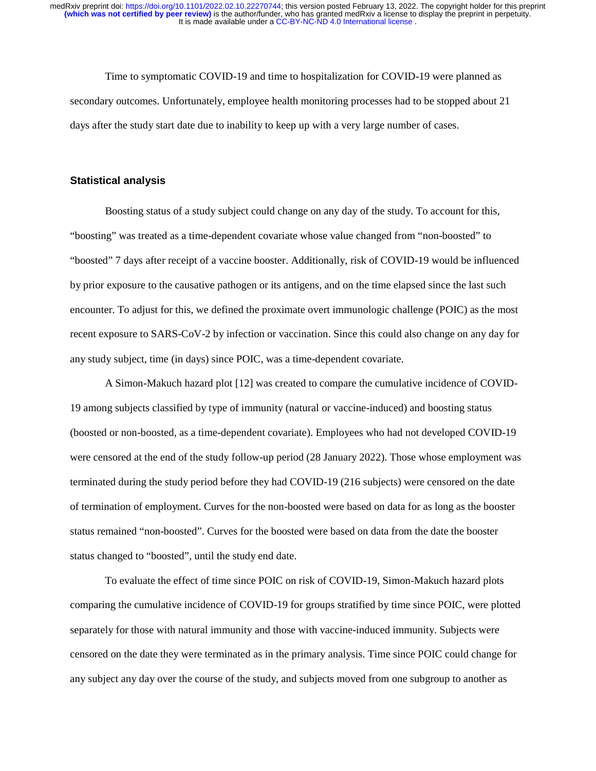Time to symptomatic COVID-19 and time to hospitalization for COVID-19 were planned as secondary outcomes. Unfortunately, employee health monitoring processes had to be stopped about 21 days after the study start date due to inability to keep up with a very large number of cases.

#### **Statistical analysis**

Boosting status of a study subject could change on any day of the study. To account for this, "boosting" was treated as a time-dependent covariate whose value changed from "non-boosted" to "boosted" 7 days after receipt of a vaccine booster. Additionally, risk of COVID-19 would be influenced by prior exposure to the causative pathogen or its antigens, and on the time elapsed since the last such encounter. To adjust for this, we defined the proximate overt immunologic challenge (POIC) as the most recent exposure to SARS-CoV-2 by infection or vaccination. Since this could also change on any day for any study subject, time (in days) since POIC, was a time-dependent covariate.

A Simon-Makuch hazard plot [12] was created to compare the cumulative incidence of COVID-19 among subjects classified by type of immunity (natural or vaccine-induced) and boosting status (boosted or non-boosted, as a time-dependent covariate). Employees who had not developed COVID-19 were censored at the end of the study follow-up period (28 January 2022). Those whose employment was terminated during the study period before they had COVID-19 (216 subjects) were censored on the date of termination of employment. Curves for the non-boosted were based on data for as long as the booster status remained "non-boosted". Curves for the boosted were based on data from the date the booster status changed to "boosted", until the study end date.

To evaluate the effect of time since POIC on risk of COVID-19, Simon-Makuch hazard plots comparing the cumulative incidence of COVID-19 for groups stratified by time since POIC, were plotted separately for those with natural immunity and those with vaccine-induced immunity. Subjects were censored on the date they were terminated as in the primary analysis. Time since POIC could change for any subject any day over the course of the study, and subjects moved from one subgroup to another as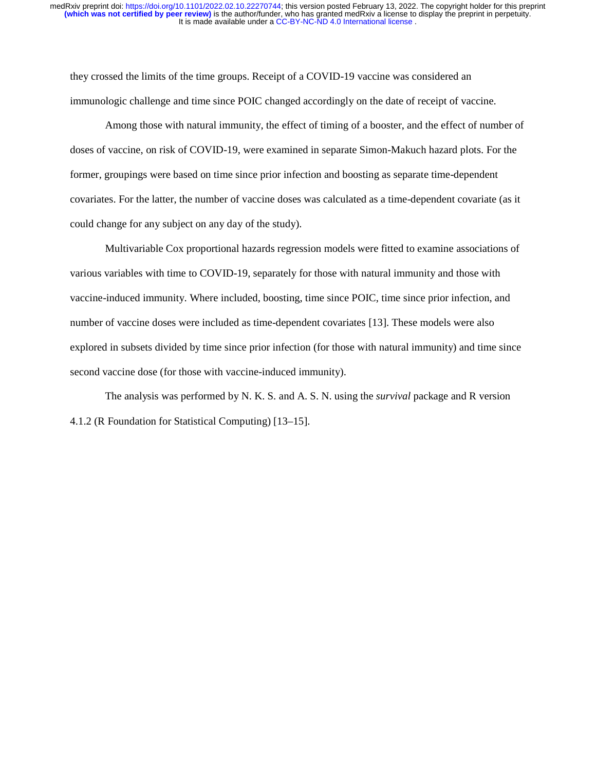they crossed the limits of the time groups. Receipt of a COVID-19 vaccine was considered an immunologic challenge and time since POIC changed accordingly on the date of receipt of vaccine.

Among those with natural immunity, the effect of timing of a booster, and the effect of number of doses of vaccine, on risk of COVID-19, were examined in separate Simon-Makuch hazard plots. For the former, groupings were based on time since prior infection and boosting as separate time-dependent covariates. For the latter, the number of vaccine doses was calculated as a time-dependent covariate (as it could change for any subject on any day of the study).

Multivariable Cox proportional hazards regression models were fitted to examine associations of various variables with time to COVID-19, separately for those with natural immunity and those with vaccine-induced immunity. Where included, boosting, time since POIC, time since prior infection, and number of vaccine doses were included as time-dependent covariates [13]. These models were also explored in subsets divided by time since prior infection (for those with natural immunity) and time since second vaccine dose (for those with vaccine-induced immunity).

The analysis was performed by N. K. S. and A. S. N. using the *survival* package and R version 4.1.2 (R Foundation for Statistical Computing) [13–15].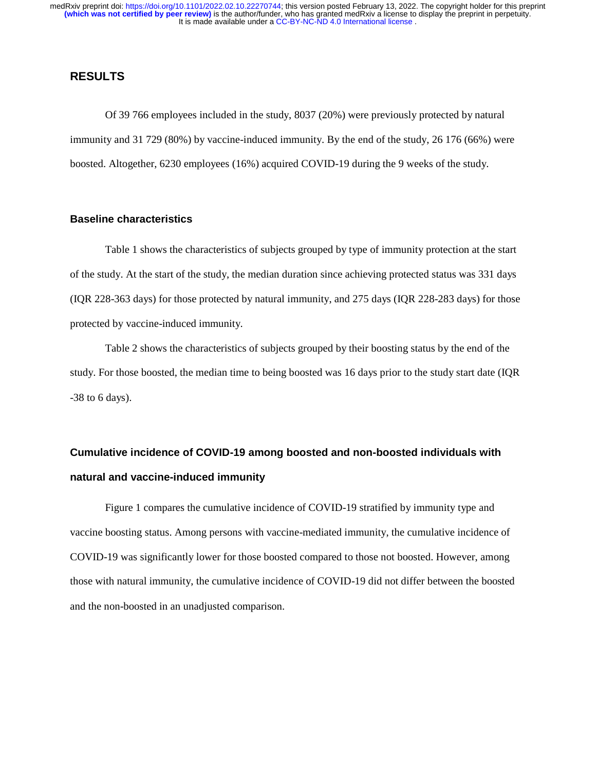# **RESULTS**

Of 39 766 employees included in the study, 8037 (20%) were previously protected by natural immunity and 31 729 (80%) by vaccine-induced immunity. By the end of the study, 26 176 (66%) were boosted. Altogether, 6230 employees (16%) acquired COVID-19 during the 9 weeks of the study.

# **Baseline characteristics**

Table 1 shows the characteristics of subjects grouped by type of immunity protection at the start of the study. At the start of the study, the median duration since achieving protected status was 331 days (IQR 228-363 days) for those protected by natural immunity, and 275 days (IQR 228-283 days) for those protected by vaccine-induced immunity.

Table 2 shows the characteristics of subjects grouped by their boosting status by the end of the study. For those boosted, the median time to being boosted was 16 days prior to the study start date (IQR -38 to 6 days).

# **Cumulative incidence of COVID-19 among boosted and non-boosted individuals with natural and vaccine-induced immunity**

Figure 1 compares the cumulative incidence of COVID-19 stratified by immunity type and vaccine boosting status. Among persons with vaccine-mediated immunity, the cumulative incidence of COVID-19 was significantly lower for those boosted compared to those not boosted. However, among those with natural immunity, the cumulative incidence of COVID-19 did not differ between the boosted and the non-boosted in an unadjusted comparison.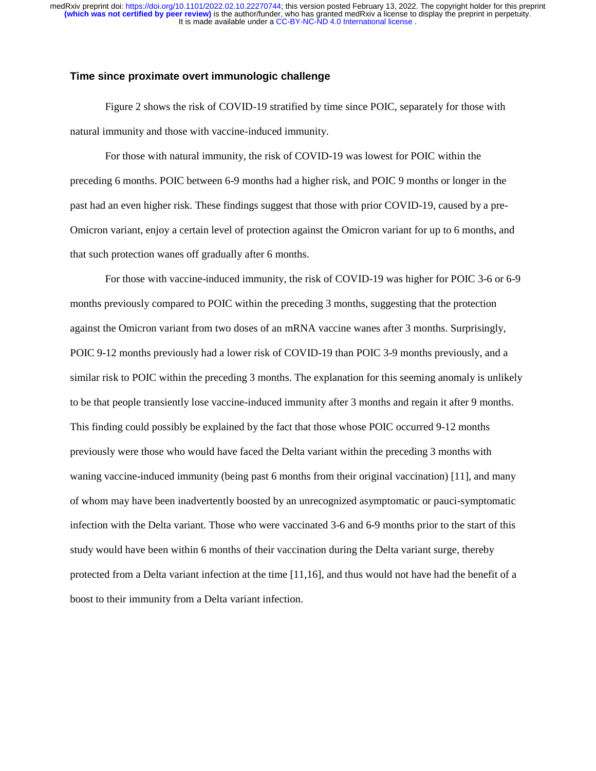# **Time since proximate overt immunologic challenge**

Figure 2 shows the risk of COVID-19 stratified by time since POIC, separately for those with natural immunity and those with vaccine-induced immunity.

For those with natural immunity, the risk of COVID-19 was lowest for POIC within the preceding 6 months. POIC between 6-9 months had a higher risk, and POIC 9 months or longer in the past had an even higher risk. These findings suggest that those with prior COVID-19, caused by a pre-Omicron variant, enjoy a certain level of protection against the Omicron variant for up to 6 months, and that such protection wanes off gradually after 6 months.

For those with vaccine-induced immunity, the risk of COVID-19 was higher for POIC 3-6 or 6-9 months previously compared to POIC within the preceding 3 months, suggesting that the protection against the Omicron variant from two doses of an mRNA vaccine wanes after 3 months. Surprisingly, POIC 9-12 months previously had a lower risk of COVID-19 than POIC 3-9 months previously, and a similar risk to POIC within the preceding 3 months. The explanation for this seeming anomaly is unlikely to be that people transiently lose vaccine-induced immunity after 3 months and regain it after 9 months. This finding could possibly be explained by the fact that those whose POIC occurred 9-12 months previously were those who would have faced the Delta variant within the preceding 3 months with waning vaccine-induced immunity (being past 6 months from their original vaccination) [11], and many of whom may have been inadvertently boosted by an unrecognized asymptomatic or pauci-symptomatic infection with the Delta variant. Those who were vaccinated 3-6 and 6-9 months prior to the start of this study would have been within 6 months of their vaccination during the Delta variant surge, thereby protected from a Delta variant infection at the time [11,16], and thus would not have had the benefit of a boost to their immunity from a Delta variant infection.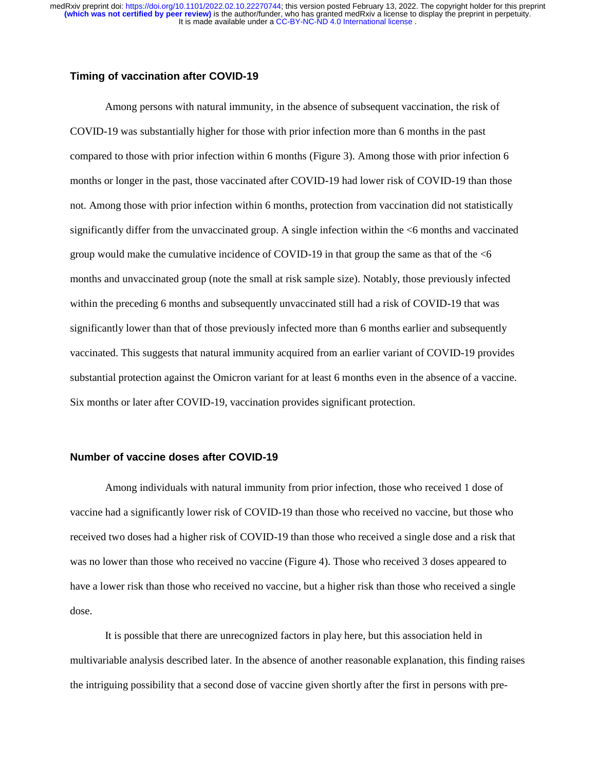#### **Timing of vaccination after COVID-19**

Among persons with natural immunity, in the absence of subsequent vaccination, the risk of COVID-19 was substantially higher for those with prior infection more than 6 months in the past compared to those with prior infection within 6 months (Figure 3). Among those with prior infection 6 months or longer in the past, those vaccinated after COVID-19 had lower risk of COVID-19 than those not. Among those with prior infection within 6 months, protection from vaccination did not statistically significantly differ from the unvaccinated group. A single infection within the <6 months and vaccinated group would make the cumulative incidence of COVID-19 in that group the same as that of the  $<6$ months and unvaccinated group (note the small at risk sample size). Notably, those previously infected within the preceding 6 months and subsequently unvaccinated still had a risk of COVID-19 that was significantly lower than that of those previously infected more than 6 months earlier and subsequently vaccinated. This suggests that natural immunity acquired from an earlier variant of COVID-19 provides substantial protection against the Omicron variant for at least 6 months even in the absence of a vaccine. Six months or later after COVID-19, vaccination provides significant protection.

### **Number of vaccine doses after COVID-19**

Among individuals with natural immunity from prior infection, those who received 1 dose of vaccine had a significantly lower risk of COVID-19 than those who received no vaccine, but those who received two doses had a higher risk of COVID-19 than those who received a single dose and a risk that was no lower than those who received no vaccine (Figure 4). Those who received 3 doses appeared to have a lower risk than those who received no vaccine, but a higher risk than those who received a single dose.

It is possible that there are unrecognized factors in play here, but this association held in multivariable analysis described later. In the absence of another reasonable explanation, this finding raises the intriguing possibility that a second dose of vaccine given shortly after the first in persons with pre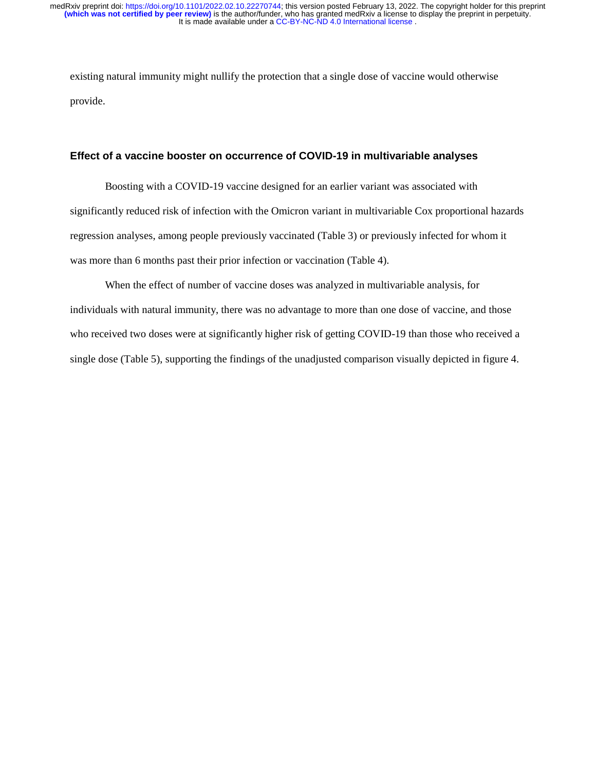existing natural immunity might nullify the protection that a single dose of vaccine would otherwise provide.

### **Effect of a vaccine booster on occurrence of COVID-19 in multivariable analyses**

Boosting with a COVID-19 vaccine designed for an earlier variant was associated with significantly reduced risk of infection with the Omicron variant in multivariable Cox proportional hazards regression analyses, among people previously vaccinated (Table 3) or previously infected for whom it was more than 6 months past their prior infection or vaccination (Table 4).

When the effect of number of vaccine doses was analyzed in multivariable analysis, for individuals with natural immunity, there was no advantage to more than one dose of vaccine, and those who received two doses were at significantly higher risk of getting COVID-19 than those who received a single dose (Table 5), supporting the findings of the unadjusted comparison visually depicted in figure 4.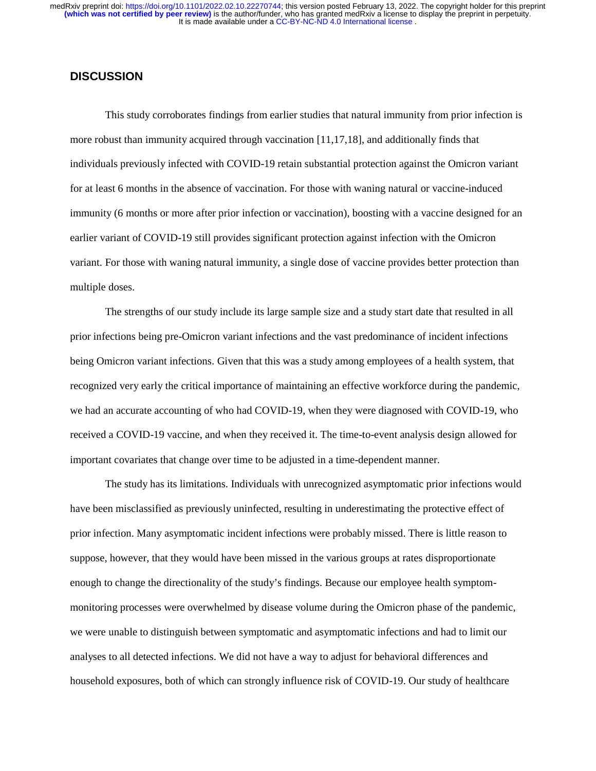# **DISCUSSION**

This study corroborates findings from earlier studies that natural immunity from prior infection is more robust than immunity acquired through vaccination [11,17,18], and additionally finds that individuals previously infected with COVID-19 retain substantial protection against the Omicron variant for at least 6 months in the absence of vaccination. For those with waning natural or vaccine-induced immunity (6 months or more after prior infection or vaccination), boosting with a vaccine designed for an earlier variant of COVID-19 still provides significant protection against infection with the Omicron variant. For those with waning natural immunity, a single dose of vaccine provides better protection than multiple doses.

The strengths of our study include its large sample size and a study start date that resulted in all prior infections being pre-Omicron variant infections and the vast predominance of incident infections being Omicron variant infections. Given that this was a study among employees of a health system, that recognized very early the critical importance of maintaining an effective workforce during the pandemic, we had an accurate accounting of who had COVID-19, when they were diagnosed with COVID-19, who received a COVID-19 vaccine, and when they received it. The time-to-event analysis design allowed for important covariates that change over time to be adjusted in a time-dependent manner.

The study has its limitations. Individuals with unrecognized asymptomatic prior infections would have been misclassified as previously uninfected, resulting in underestimating the protective effect of prior infection. Many asymptomatic incident infections were probably missed. There is little reason to suppose, however, that they would have been missed in the various groups at rates disproportionate enough to change the directionality of the study's findings. Because our employee health symptommonitoring processes were overwhelmed by disease volume during the Omicron phase of the pandemic, we were unable to distinguish between symptomatic and asymptomatic infections and had to limit our analyses to all detected infections. We did not have a way to adjust for behavioral differences and household exposures, both of which can strongly influence risk of COVID-19. Our study of healthcare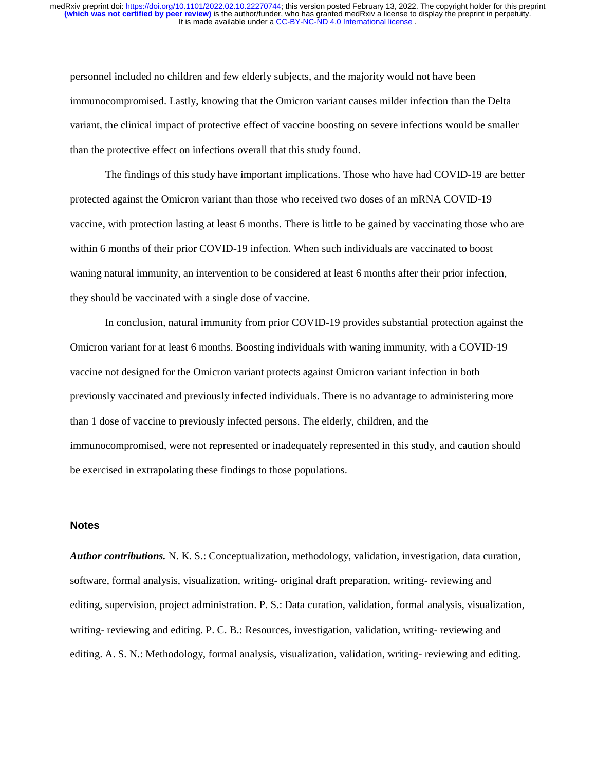personnel included no children and few elderly subjects, and the majority would not have been immunocompromised. Lastly, knowing that the Omicron variant causes milder infection than the Delta variant, the clinical impact of protective effect of vaccine boosting on severe infections would be smaller than the protective effect on infections overall that this study found.

The findings of this study have important implications. Those who have had COVID-19 are better protected against the Omicron variant than those who received two doses of an mRNA COVID-19 vaccine, with protection lasting at least 6 months. There is little to be gained by vaccinating those who are within 6 months of their prior COVID-19 infection. When such individuals are vaccinated to boost waning natural immunity, an intervention to be considered at least 6 months after their prior infection, they should be vaccinated with a single dose of vaccine.

In conclusion, natural immunity from prior COVID-19 provides substantial protection against the Omicron variant for at least 6 months. Boosting individuals with waning immunity, with a COVID-19 vaccine not designed for the Omicron variant protects against Omicron variant infection in both previously vaccinated and previously infected individuals. There is no advantage to administering more than 1 dose of vaccine to previously infected persons. The elderly, children, and the immunocompromised, were not represented or inadequately represented in this study, and caution should be exercised in extrapolating these findings to those populations.

#### **Notes**

*Author contributions.* N. K. S.: Conceptualization, methodology, validation, investigation, data curation, software, formal analysis, visualization, writing- original draft preparation, writing- reviewing and editing, supervision, project administration. P. S.: Data curation, validation, formal analysis, visualization, writing- reviewing and editing. P. C. B.: Resources, investigation, validation, writing- reviewing and editing. A. S. N.: Methodology, formal analysis, visualization, validation, writing- reviewing and editing.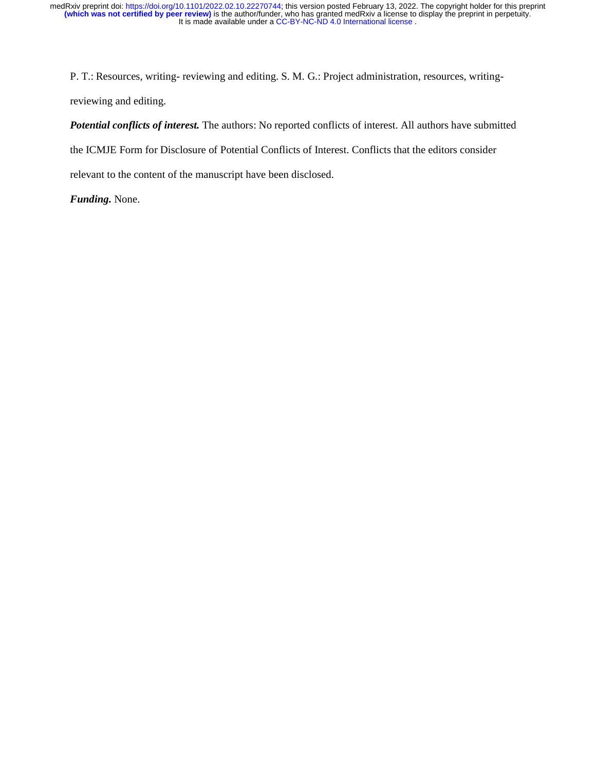P. T.: Resources, writing- reviewing and editing. S. M. G.: Project administration, resources, writingreviewing and editing.

*Potential conflicts of interest.* The authors: No reported conflicts of interest. All authors have submitted the ICMJE Form for Disclosure of Potential Conflicts of Interest. Conflicts that the editors consider

relevant to the content of the manuscript have been disclosed.

*Funding.* None.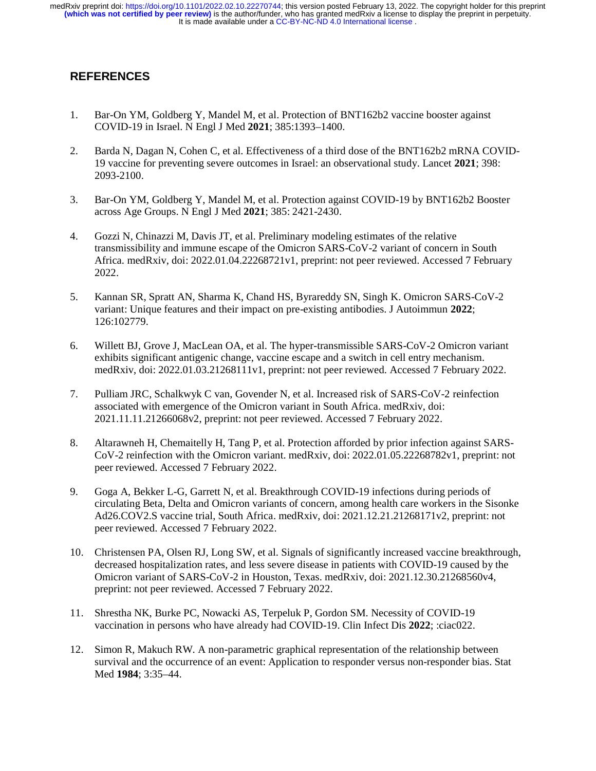It is made available under a [CC-BY-NC-ND 4.0 International license](http://creativecommons.org/licenses/by-nc-nd/4.0/) . **(which was not certified by peer review)** is the author/funder, who has granted medRxiv a license to display the preprint in perpetuity. medRxiv preprint doi: [https://doi.org/10.1101/2022.02.10.22270744;](https://doi.org/10.1101/2022.02.10.22270744) this version posted February 13, 2022. The copyright holder for this preprint

# **REFERENCES**

- 1. Bar-On YM, Goldberg Y, Mandel M, et al. Protection of BNT162b2 vaccine booster against COVID-19 in Israel. N Engl J Med **2021**; 385:1393–1400.
- 2. Barda N, Dagan N, Cohen C, et al. Effectiveness of a third dose of the BNT162b2 mRNA COVID-19 vaccine for preventing severe outcomes in Israel: an observational study. Lancet **2021**; 398: 2093-2100.
- 3. Bar-On YM, Goldberg Y, Mandel M, et al. Protection against COVID-19 by BNT162b2 Booster across Age Groups. N Engl J Med **2021**; 385: 2421-2430.
- 4. Gozzi N, Chinazzi M, Davis JT, et al. Preliminary modeling estimates of the relative transmissibility and immune escape of the Omicron SARS-CoV-2 variant of concern in South Africa. medRxiv, doi: 2022.01.04.22268721v1, preprint: not peer reviewed. Accessed 7 February 2022.
- 5. Kannan SR, Spratt AN, Sharma K, Chand HS, Byrareddy SN, Singh K. Omicron SARS-CoV-2 variant: Unique features and their impact on pre-existing antibodies. J Autoimmun **2022**; 126:102779.
- 6. Willett BJ, Grove J, MacLean OA, et al. The hyper-transmissible SARS-CoV-2 Omicron variant exhibits significant antigenic change, vaccine escape and a switch in cell entry mechanism. medRxiv, doi: 2022.01.03.21268111v1, preprint: not peer reviewed. Accessed 7 February 2022.
- 7. Pulliam JRC, Schalkwyk C van, Govender N, et al. Increased risk of SARS-CoV-2 reinfection associated with emergence of the Omicron variant in South Africa. medRxiv, doi: 2021.11.11.21266068v2, preprint: not peer reviewed. Accessed 7 February 2022.
- 8. Altarawneh H, Chemaitelly H, Tang P, et al. Protection afforded by prior infection against SARS-CoV-2 reinfection with the Omicron variant. medRxiv, doi: 2022.01.05.22268782v1, preprint: not peer reviewed. Accessed 7 February 2022.
- 9. Goga A, Bekker L-G, Garrett N, et al. Breakthrough COVID-19 infections during periods of circulating Beta, Delta and Omicron variants of concern, among health care workers in the Sisonke Ad26.COV2.S vaccine trial, South Africa. medRxiv, doi: 2021.12.21.21268171v2, preprint: not peer reviewed. Accessed 7 February 2022.
- 10. Christensen PA, Olsen RJ, Long SW, et al. Signals of significantly increased vaccine breakthrough, decreased hospitalization rates, and less severe disease in patients with COVID-19 caused by the Omicron variant of SARS-CoV-2 in Houston, Texas. medRxiv, doi: 2021.12.30.21268560v4, preprint: not peer reviewed. Accessed 7 February 2022.
- 11. Shrestha NK, Burke PC, Nowacki AS, Terpeluk P, Gordon SM. Necessity of COVID-19 vaccination in persons who have already had COVID-19. Clin Infect Dis **2022**; :ciac022.
- 12. Simon R, Makuch RW. A non-parametric graphical representation of the relationship between survival and the occurrence of an event: Application to responder versus non-responder bias. Stat Med **1984**; 3:35–44.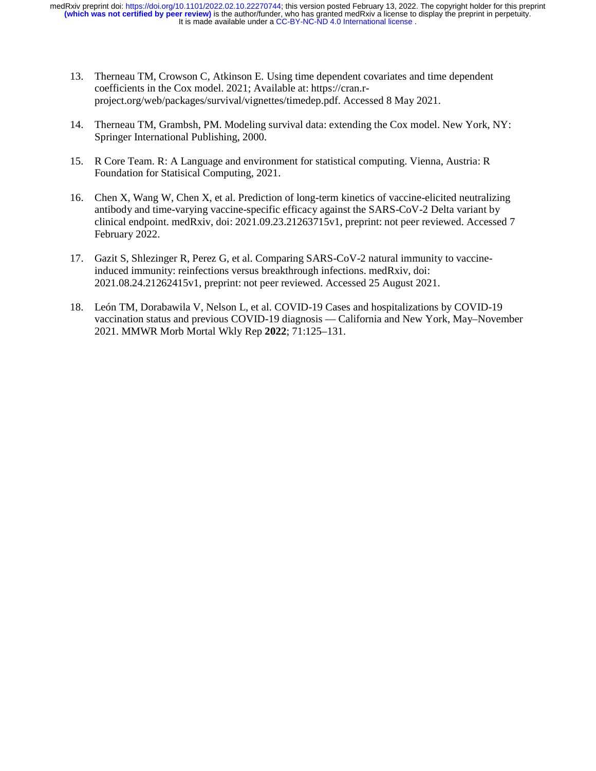It is made available under a [CC-BY-NC-ND 4.0 International license](http://creativecommons.org/licenses/by-nc-nd/4.0/) . **(which was not certified by peer review)** is the author/funder, who has granted medRxiv a license to display the preprint in perpetuity. medRxiv preprint doi: [https://doi.org/10.1101/2022.02.10.22270744;](https://doi.org/10.1101/2022.02.10.22270744) this version posted February 13, 2022. The copyright holder for this preprint

- 13. Therneau TM, Crowson C, Atkinson E. Using time dependent covariates and time dependent coefficients in the Cox model. 2021; Available at: https://cran.rproject.org/web/packages/survival/vignettes/timedep.pdf. Accessed 8 May 2021.
- 14. Therneau TM, Grambsh, PM. Modeling survival data: extending the Cox model. New York, NY: Springer International Publishing, 2000.
- 15. R Core Team. R: A Language and environment for statistical computing. Vienna, Austria: R Foundation for Statisical Computing, 2021.
- 16. Chen X, Wang W, Chen X, et al. Prediction of long-term kinetics of vaccine-elicited neutralizing antibody and time-varying vaccine-specific efficacy against the SARS-CoV-2 Delta variant by clinical endpoint. medRxiv, doi: 2021.09.23.21263715v1, preprint: not peer reviewed. Accessed 7 February 2022.
- 17. Gazit S, Shlezinger R, Perez G, et al. Comparing SARS-CoV-2 natural immunity to vaccineinduced immunity: reinfections versus breakthrough infections. medRxiv, doi: 2021.08.24.21262415v1, preprint: not peer reviewed. Accessed 25 August 2021.
- 18. León TM, Dorabawila V, Nelson L, et al. COVID-19 Cases and hospitalizations by COVID-19 vaccination status and previous COVID-19 diagnosis — California and New York, May–November 2021. MMWR Morb Mortal Wkly Rep **2022**; 71:125–131.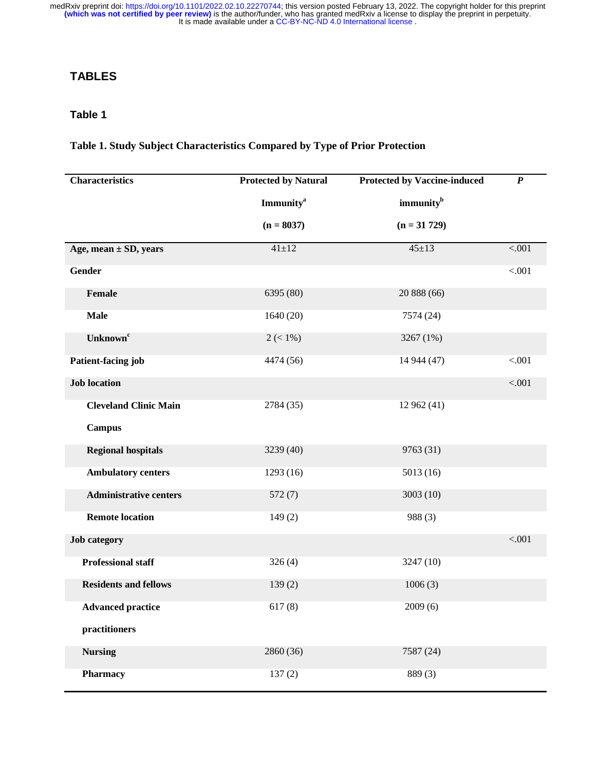# **TABLES**

# **Table 1**

# **Table 1. Study Subject Characteristics Compared by Type of Prior Protection**

| <b>Characteristics</b>        | <b>Protected by Natural</b>  | <b>Protected by Vaccine-induced</b> | $\boldsymbol{P}$ |
|-------------------------------|------------------------------|-------------------------------------|------------------|
|                               | <b>Immunity</b> <sup>a</sup> | immunity <sup>b</sup>               |                  |
|                               | $(n = 8037)$                 | $(n = 31 729)$                      |                  |
| Age, mean $\pm$ SD, years     | $41 \pm 12$                  | $45 \pm 13$                         | < .001           |
| Gender                        |                              |                                     | < .001           |
| Female                        | 6395 (80)                    | 20 888 (66)                         |                  |
| <b>Male</b>                   | 1640(20)                     | 7574 (24)                           |                  |
| Unknown <sup>c</sup>          | $2 (< 1\%)$                  | 3267 (1%)                           |                  |
| Patient-facing job            | 4474 (56)                    | 14 944 (47)                         | < .001           |
| <b>Job location</b>           |                              |                                     | < .001           |
| <b>Cleveland Clinic Main</b>  | 2784 (35)                    | 12 962 (41)                         |                  |
| <b>Campus</b>                 |                              |                                     |                  |
| <b>Regional hospitals</b>     | 3239 (40)                    | 9763 (31)                           |                  |
| <b>Ambulatory centers</b>     | 1293 (16)                    | 5013(16)                            |                  |
| <b>Administrative centers</b> | 572(7)                       | 3003 (10)                           |                  |
| <b>Remote location</b>        | 149(2)                       | 988 (3)                             |                  |
| <b>Job</b> category           |                              |                                     | < .001           |
| <b>Professional staff</b>     | 326(4)                       | 3247 (10)                           |                  |
| <b>Residents and fellows</b>  | 139(2)                       | 1006(3)                             |                  |
| <b>Advanced practice</b>      | 617(8)                       | 2009(6)                             |                  |
| practitioners                 |                              |                                     |                  |
| <b>Nursing</b>                | 2860 (36)                    | 7587 (24)                           |                  |
| <b>Pharmacy</b>               | 137(2)                       | 889(3)                              |                  |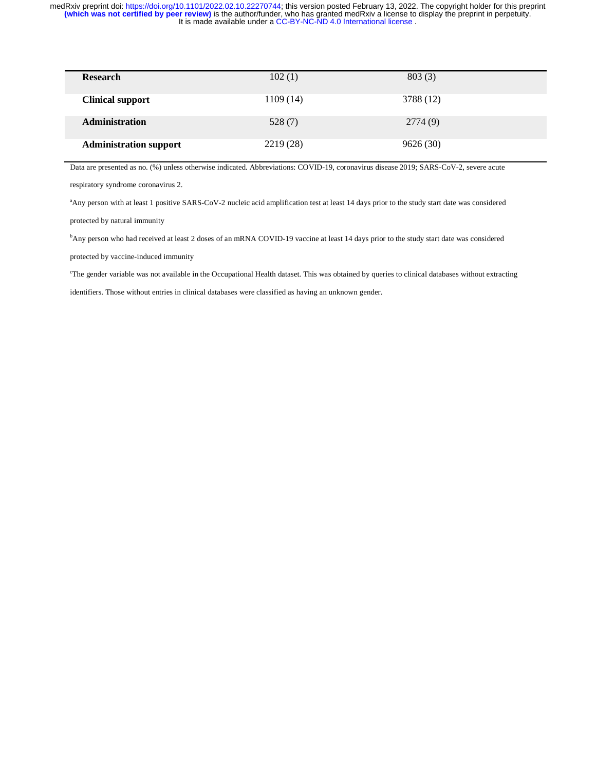| <b>Research</b>               | 102(1)    | 803(3)    |  |
|-------------------------------|-----------|-----------|--|
| <b>Clinical support</b>       | 1109(14)  | 3788 (12) |  |
| <b>Administration</b>         | 528 (7)   | 2774 (9)  |  |
| <b>Administration support</b> | 2219 (28) | 9626(30)  |  |

Data are presented as no. (%) unless otherwise indicated. Abbreviations: COVID-19, coronavirus disease 2019; SARS-CoV-2, severe acute

respiratory syndrome coronavirus 2.

a Any person with at least 1 positive SARS-CoV-2 nucleic acid amplification test at least 14 days prior to the study start date was considered

protected by natural immunity

b Any person who had received at least 2 doses of an mRNA COVID-19 vaccine at least 14 days prior to the study start date was considered

protected by vaccine-induced immunity

c The gender variable was not available in the Occupational Health dataset. This was obtained by queries to clinical databases without extracting

identifiers. Those without entries in clinical databases were classified as having an unknown gender.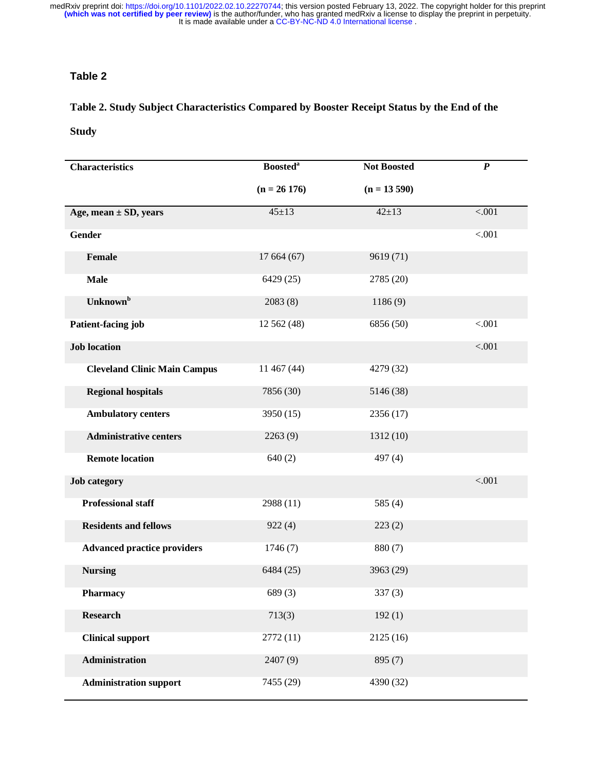# **Table 2**

# **Table 2. Study Subject Characteristics Compared by Booster Receipt Status by the End of the**

# **Study**

| <b>Characteristics</b>              | <b>Boosted</b> <sup>a</sup> | <b>Not Boosted</b> | $\boldsymbol{P}$ |
|-------------------------------------|-----------------------------|--------------------|------------------|
|                                     | $(n = 26 176)$              | $(n = 13590)$      |                  |
| Age, mean $\pm$ SD, years           | $45 \pm 13$                 | $42 \pm 13$        | < .001           |
| <b>Gender</b>                       |                             |                    | < .001           |
| Female                              | 17 664 (67)                 | 9619 (71)          |                  |
| <b>Male</b>                         | 6429 (25)                   | 2785 (20)          |                  |
| Unknown <sup>b</sup>                | 2083(8)                     | 1186(9)            |                  |
| Patient-facing job                  | 12 562 (48)                 | 6856 (50)          | < .001           |
| <b>Job location</b>                 |                             |                    | $-.001$          |
| <b>Cleveland Clinic Main Campus</b> | 11 467 (44)                 | 4279 (32)          |                  |
| <b>Regional hospitals</b>           | 7856 (30)                   | 5146 (38)          |                  |
| <b>Ambulatory centers</b>           | 3950(15)                    | 2356(17)           |                  |
| <b>Administrative centers</b>       | 2263(9)                     | 1312(10)           |                  |
| <b>Remote location</b>              | 640(2)                      | 497 (4)            |                  |
| <b>Job category</b>                 |                             |                    | < .001           |
| <b>Professional staff</b>           | 2988 (11)                   | 585 $(4)$          |                  |
| <b>Residents and fellows</b>        | 922(4)                      | 223(2)             |                  |
| <b>Advanced practice providers</b>  | 1746(7)                     | 880 (7)            |                  |
| <b>Nursing</b>                      | 6484 (25)                   | 3963 (29)          |                  |
| Pharmacy                            | 689(3)                      | 337 (3)            |                  |
| <b>Research</b>                     | 713(3)                      | 192(1)             |                  |
| <b>Clinical support</b>             | 2772(11)                    | 2125(16)           |                  |
| Administration                      | 2407 (9)                    | 895 (7)            |                  |
| <b>Administration support</b>       | 7455 (29)                   | 4390 (32)          |                  |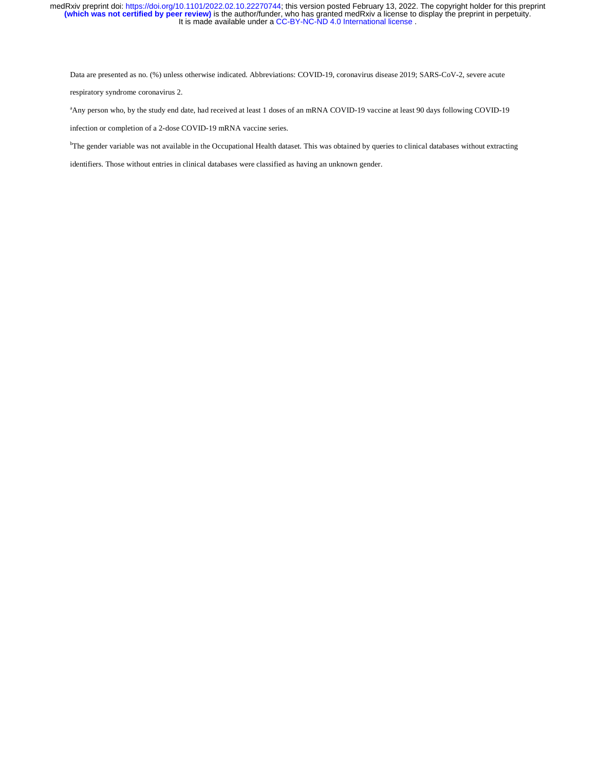Data are presented as no. (%) unless otherwise indicated. Abbreviations: COVID-19, coronavirus disease 2019; SARS-CoV-2, severe acute respiratory syndrome coronavirus 2.

<sup>a</sup>Any person who, by the study end date, had received at least 1 doses of an mRNA COVID-19 vaccine at least 90 days following COVID-19 infection or completion of a 2-dose COVID-19 mRNA vaccine series.

<sup>b</sup>The gender variable was not available in the Occupational Health dataset. This was obtained by queries to clinical databases without extracting

identifiers. Those without entries in clinical databases were classified as having an unknown gender.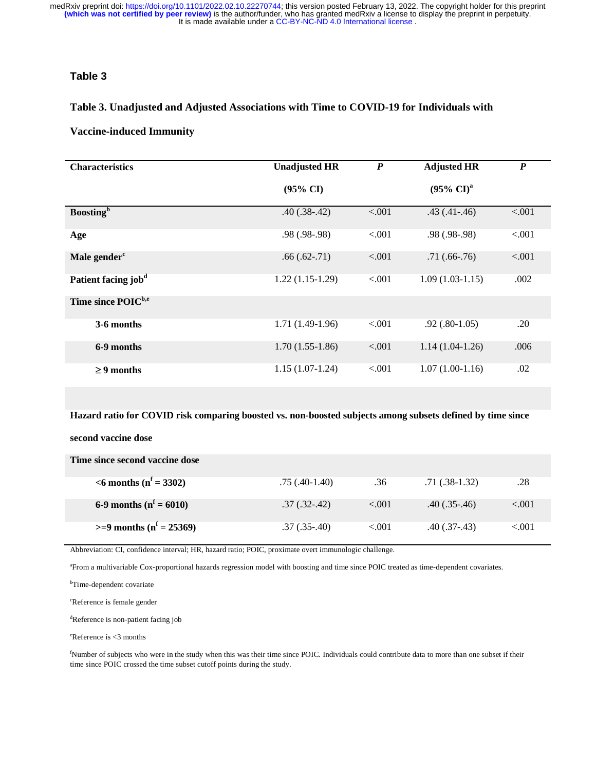# **Table 3**

#### **Table 3. Unadjusted and Adjusted Associations with Time to COVID-19 for Individuals with**

#### **Vaccine-induced Immunity**

| <b>Characteristics</b>          | <b>Unadjusted HR</b><br>$\boldsymbol{P}$<br><b>Adjusted HR</b> |         |                       | $\boldsymbol{P}$ |
|---------------------------------|----------------------------------------------------------------|---------|-----------------------|------------------|
|                                 | $(95\% \text{ CI})$                                            |         | $(95\% \text{ CI})^a$ |                  |
| <b>Boosting</b> <sup>b</sup>    | $.40(.38-.42)$                                                 | < .001  | $.43$ $(.41 - .46)$   | < .001           |
| Age                             | $.98(.98-.98)$                                                 | < 0.001 | $.98(.98-.98)$        | < .001           |
| Male gender <sup>c</sup>        | $.66(.62-.71)$                                                 | < 0.001 | $.71(.66-.76)$        | < .001           |
| Patient facing job <sup>d</sup> | $1.22(1.15-1.29)$                                              | < 0.001 | $1.09(1.03-1.15)$     | .002             |
| Time since POIC <sup>b,e</sup>  |                                                                |         |                       |                  |
| 3-6 months                      | $1.71(1.49-1.96)$                                              | < 0.001 | $.92(.80-1.05)$       | .20              |
| 6-9 months                      | $1.70(1.55-1.86)$                                              | < 0.001 | $1.14(1.04-1.26)$     | .006             |
| $\geq 9$ months                 | $1.15(1.07-1.24)$                                              | < 0.001 | $1.07(1.00-1.16)$     | .02              |

**Hazard ratio for COVID risk comparing boosted vs. non-boosted subjects among subsets defined by time since** 

# **second vaccine dose**

**Time since second vaccine dose** 

| $\leq 6$ months ( $n^f = 3302$ ) | $.75(.40-1.40)$   | .36      | $.71(.38-1.32)$   | .28      |
|----------------------------------|-------------------|----------|-------------------|----------|
| 6-9 months ( $n^f$ = 6010)       | $.37$ $(.32-.42)$ | ${<}001$ | $.40$ (.35 - .46) | ${<}001$ |
| $>= 9$ months ( $n^f = 25369$ )  | $.37(.35-.40)$    | < 0.001  | $.40$ $(.37-.43)$ | ${<}001$ |

Abbreviation: CI, confidence interval; HR, hazard ratio; POIC, proximate overt immunologic challenge.

a From a multivariable Cox-proportional hazards regression model with boosting and time since POIC treated as time-dependent covariates.

<sup>b</sup>Time-dependent covariate

c Reference is female gender

d Reference is non-patient facing job

e Reference is <3 months

f Number of subjects who were in the study when this was their time since POIC. Individuals could contribute data to more than one subset if their time since POIC crossed the time subset cutoff points during the study.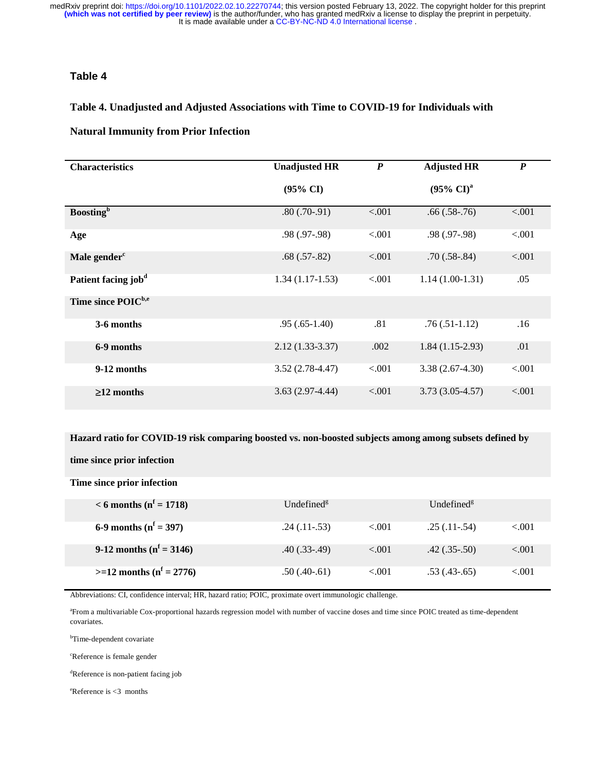# **Table 4**

# **Table 4. Unadjusted and Adjusted Associations with Time to COVID-19 for Individuals with**

#### **Natural Immunity from Prior Infection**

| <b>Characteristics</b>          | <b>Unadjusted HR</b><br>$\boldsymbol{P}$ |         | <b>Adjusted HR</b>             | $\boldsymbol{P}$ |
|---------------------------------|------------------------------------------|---------|--------------------------------|------------------|
|                                 | $(95\% \text{ CI})$                      |         | $(95\% \text{ CI})^{\text{a}}$ |                  |
| <b>Boosting</b> <sup>b</sup>    | $.80(.70-.91)$                           | < .001  | $.66(.58-.76)$                 | < .001           |
| Age                             | $.98(.97-.98)$                           | < 0.001 | $.98$ $(.97-.98)$              | < .001           |
| Male gender <sup>c</sup>        | $.68(.57-.82)$                           | < .001  | $.70(.58-.84)$                 | < .001           |
| Patient facing job <sup>d</sup> | $1.34(1.17-1.53)$                        | < 0.001 | $1.14(1.00-1.31)$              | .05              |
| Time since POIC <sup>b,e</sup>  |                                          |         |                                |                  |
| 3-6 months                      | $.95(.65-1.40)$                          | .81     | $.76(.51-1.12)$                | .16              |
| 6-9 months                      | $2.12(1.33-3.37)$                        | .002    | $1.84(1.15-2.93)$              | .01              |
| 9-12 months                     | $3.52(2.78-4.47)$                        | < 0.001 | $3.38(2.67-4.30)$              | < .001           |
| $\geq$ 12 months                | $3.63(2.97-4.44)$                        | < .001  | $3.73(3.05-4.57)$              | < .001           |

**Hazard ratio for COVID-19 risk comparing boosted vs. non-boosted subjects among among subsets defined by** 

**time since prior infection** 

**Time since prior infection** 

| $< 6$ months ( $n^f = 1718$ )  | Undefined <sup>g</sup> |          | Undefined <sup>g</sup> |        |
|--------------------------------|------------------------|----------|------------------------|--------|
| 6-9 months ( $n^f$ = 397)      | $.24$ (.11 $-0.53$ )   | < 0.01   | $.25(.11-.54)$         | < 0.01 |
| 9-12 months ( $n^f$ = 3146)    | $.40$ $(.33-.49)$      | < 0.01   | $.42$ $(.35-.50)$      | < 0.01 |
| $>=12$ months ( $n^f = 2776$ ) | $.50(.40-.61)$         | ${<}001$ | $.53$ $(.43-.65)$      | < 0.01 |

Abbreviations: CI, confidence interval; HR, hazard ratio; POIC, proximate overt immunologic challenge.

a From a multivariable Cox-proportional hazards regression model with number of vaccine doses and time since POIC treated as time-dependent covariates.

<sup>b</sup>Time-dependent covariate

c Reference is female gender

d Reference is non-patient facing job

e Reference is <3 months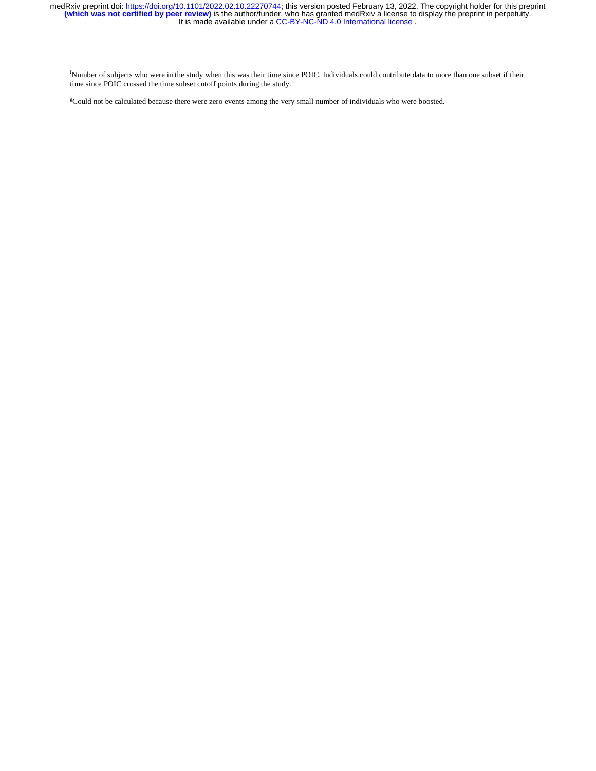f Number of subjects who were in the study when this was their time since POIC. Individuals could contribute data to more than one subset if their time since POIC crossed the time subset cutoff points during the study.

g Could not be calculated because there were zero events among the very small number of individuals who were boosted.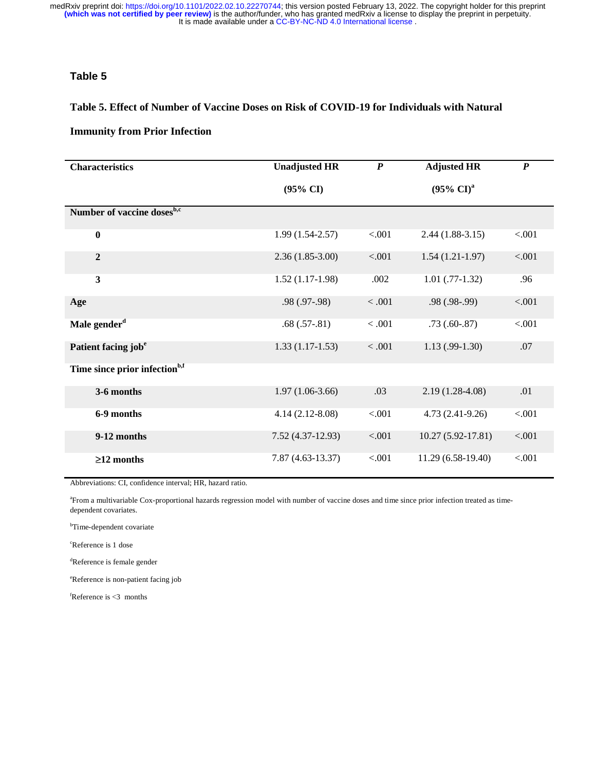# **Table 5**

#### **Table 5. Effect of Number of Vaccine Doses on Risk of COVID-19 for Individuals with Natural**

#### **Immunity from Prior Infection**

| <b>Characteristics</b>                    | <b>Unadjusted HR</b> | $\boldsymbol{P}$ | <b>Adjusted HR</b>    | $\boldsymbol{P}$ |
|-------------------------------------------|----------------------|------------------|-----------------------|------------------|
|                                           | $(95\% \text{ CI})$  |                  | $(95\% \text{ CI})^a$ |                  |
| Number of vaccine doses <sup>b,c</sup>    |                      |                  |                       |                  |
| $\bf{0}$                                  | $1.99(1.54-2.57)$    | < .001           | $2.44(1.88-3.15)$     | < .001           |
| $\overline{2}$                            | $2.36(1.85-3.00)$    | < .001           | $1.54(1.21-1.97)$     | < .001           |
| $\overline{\mathbf{3}}$                   | $1.52(1.17-1.98)$    | .002             | $1.01$ (.77-1.32)     | .96              |
| Age                                       | $.98(.97-.98)$       | < 0.001          | $.98(.98-.99)$        | < .001           |
| Male gender <sup>d</sup>                  | $.68(.57-.81)$       | $<.001$          | $.73(.60-.87)$        | < .001           |
| Patient facing job <sup>e</sup>           | $1.33(1.17-1.53)$    | $<.001$          | $1.13(0.99-1.30)$     | .07              |
| Time since prior infection <sup>b,f</sup> |                      |                  |                       |                  |
| 3-6 months                                | $1.97(1.06-3.66)$    | .03              | $2.19(1.28-4.08)$     | .01              |
| 6-9 months                                | $4.14(2.12-8.08)$    | < .001           | $4.73(2.41-9.26)$     | < .001           |
| 9-12 months                               | $7.52(4.37-12.93)$   | < .001           | $10.27(5.92 - 17.81)$ | < .001           |
| $\geq$ 12 months                          | $7.87(4.63-13.37)$   | < .001           | $11.29(6.58-19.40)$   | < .001           |

Abbreviations: CI, confidence interval; HR, hazard ratio.

a From a multivariable Cox-proportional hazards regression model with number of vaccine doses and time since prior infection treated as timedependent covariates.

<sup>b</sup>Time-dependent covariate

c Reference is 1 dose

d Reference is female gender

e Reference is non-patient facing job

f Reference is <3 months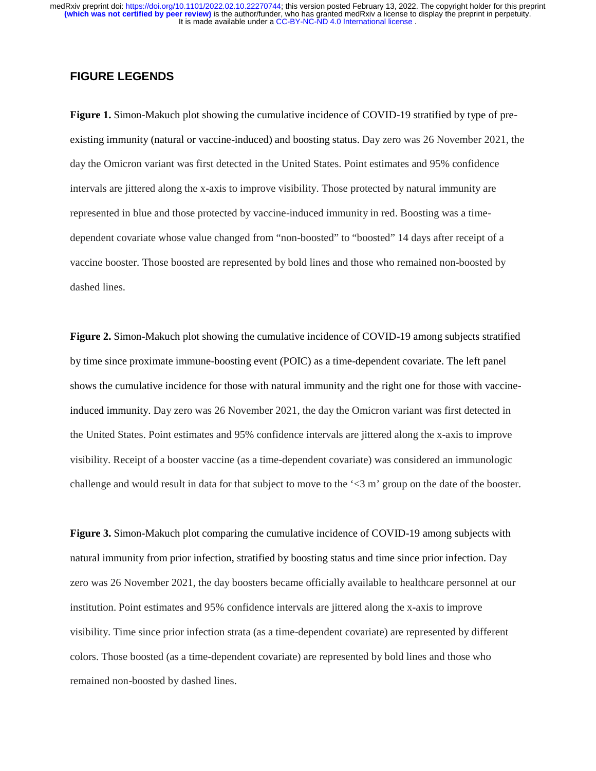# **FIGURE LEGENDS**

**Figure 1.** Simon-Makuch plot showing the cumulative incidence of COVID-19 stratified by type of preexisting immunity (natural or vaccine-induced) and boosting status. Day zero was 26 November 2021, the day the Omicron variant was first detected in the United States. Point estimates and 95% confidence intervals are jittered along the x-axis to improve visibility. Those protected by natural immunity are represented in blue and those protected by vaccine-induced immunity in red. Boosting was a timedependent covariate whose value changed from "non-boosted" to "boosted" 14 days after receipt of a vaccine booster. Those boosted are represented by bold lines and those who remained non-boosted by dashed lines.

**Figure 2.** Simon-Makuch plot showing the cumulative incidence of COVID-19 among subjects stratified by time since proximate immune-boosting event (POIC) as a time-dependent covariate. The left panel shows the cumulative incidence for those with natural immunity and the right one for those with vaccineinduced immunity. Day zero was 26 November 2021, the day the Omicron variant was first detected in the United States. Point estimates and 95% confidence intervals are jittered along the x-axis to improve visibility. Receipt of a booster vaccine (as a time-dependent covariate) was considered an immunologic challenge and would result in data for that subject to move to the '<3 m' group on the date of the booster.

**Figure 3.** Simon-Makuch plot comparing the cumulative incidence of COVID-19 among subjects with natural immunity from prior infection, stratified by boosting status and time since prior infection. Day zero was 26 November 2021, the day boosters became officially available to healthcare personnel at our institution. Point estimates and 95% confidence intervals are jittered along the x-axis to improve visibility. Time since prior infection strata (as a time-dependent covariate) are represented by different colors. Those boosted (as a time-dependent covariate) are represented by bold lines and those who remained non-boosted by dashed lines.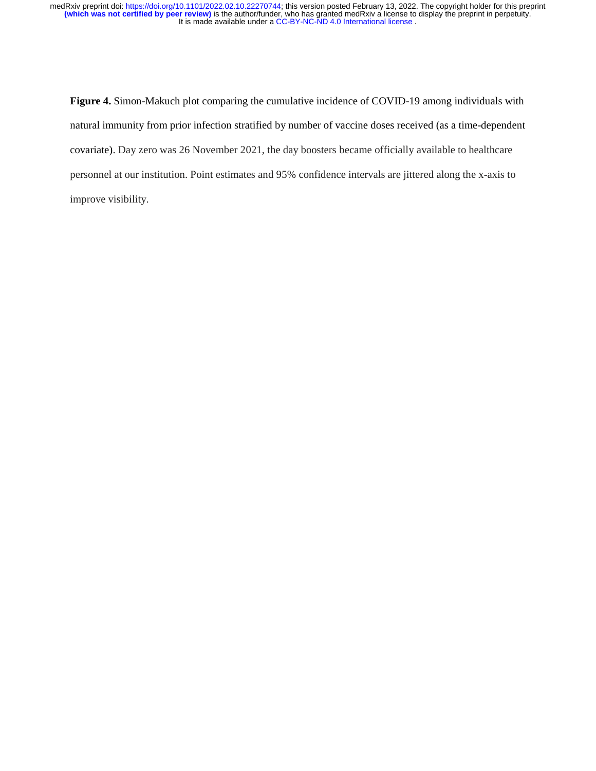**Figure 4.** Simon-Makuch plot comparing the cumulative incidence of COVID-19 among individuals with natural immunity from prior infection stratified by number of vaccine doses received (as a time-dependent covariate). Day zero was 26 November 2021, the day boosters became officially available to healthcare personnel at our institution. Point estimates and 95% confidence intervals are jittered along the x-axis to improve visibility.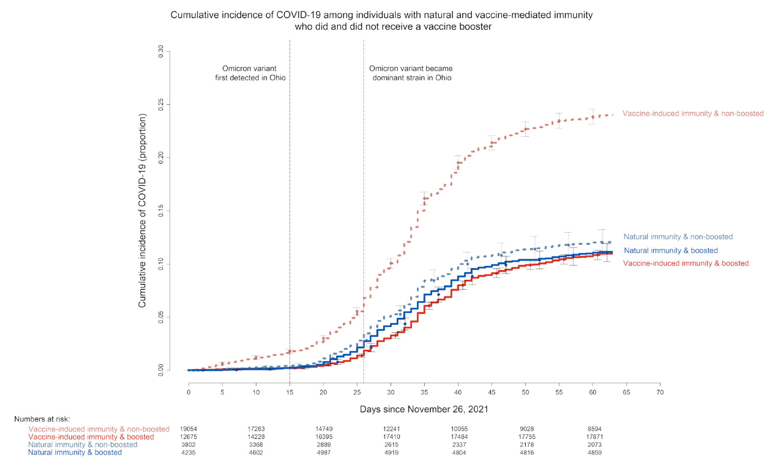Cumulative incidence of COVID-19 among individuals with natural and vaccine-mediated immunity who did and did not receive a vaccine booster

Numbers at risk:

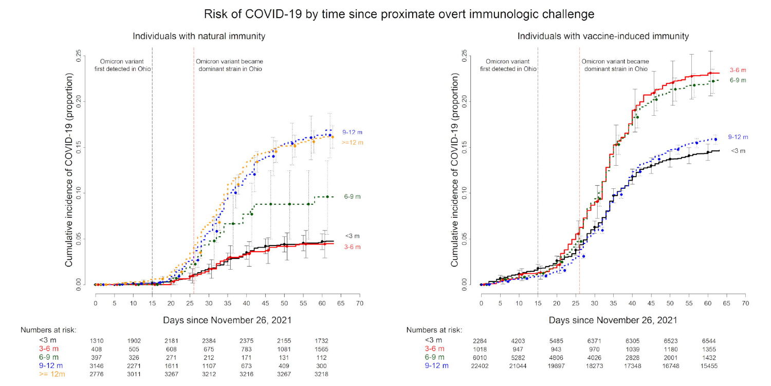#### Risk of COVID-19 by time since proximate overt immunologic challenge





Individuals with vaccine-induced immunity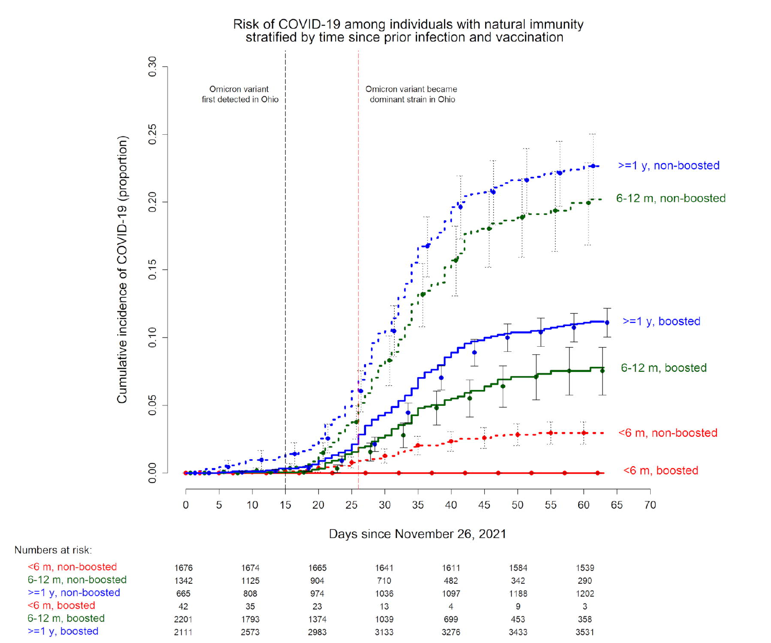# Risk of COVID-19 among individuals with natural immunity<br>stratified by time since prior infection and vaccination



Days since November 26, 2021

| <6 m, non-boosted     | 1676 | 1674 | 1665 | 1641 | 1611 | 1584 | 1539 |
|-----------------------|------|------|------|------|------|------|------|
| 6-12 m. non-boosted   | 1342 | 1125 | 904  | 710  | 482  | 342  | 290  |
| $>=1 y$ , non-boosted | 665  | 808  | 974  | 1036 | 1097 | 1188 | 1202 |
| <6 m. boosted         | 42   | 35   | 23   | 13   | 4    | 9    |      |
| 6-12 m. boosted       | 2201 | 1793 | 1374 | 1039 | 699  | 453  | 358  |
| $>=1$ y, boosted      | 2111 | 2573 | 2983 | 3133 | 3276 | 3433 | 3531 |
|                       |      |      |      |      |      |      |      |

Numbers at risk: